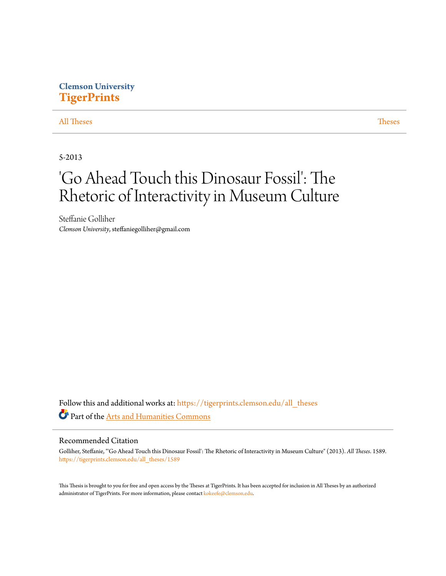## **Clemson University [TigerPrints](https://tigerprints.clemson.edu?utm_source=tigerprints.clemson.edu%2Fall_theses%2F1589&utm_medium=PDF&utm_campaign=PDFCoverPages)**

#### [All Theses](https://tigerprints.clemson.edu/all_theses?utm_source=tigerprints.clemson.edu%2Fall_theses%2F1589&utm_medium=PDF&utm_campaign=PDFCoverPages) **[Theses](https://tigerprints.clemson.edu/theses?utm_source=tigerprints.clemson.edu%2Fall_theses%2F1589&utm_medium=PDF&utm_campaign=PDFCoverPages)**

5-2013

# 'Go Ahead Touch this Dinosaur Fossil': The Rhetoric of Interactivity in Museum Culture

Steffanie Golliher *Clemson University*, steffaniegolliher@gmail.com

Follow this and additional works at: [https://tigerprints.clemson.edu/all\\_theses](https://tigerprints.clemson.edu/all_theses?utm_source=tigerprints.clemson.edu%2Fall_theses%2F1589&utm_medium=PDF&utm_campaign=PDFCoverPages) Part of the [Arts and Humanities Commons](http://network.bepress.com/hgg/discipline/438?utm_source=tigerprints.clemson.edu%2Fall_theses%2F1589&utm_medium=PDF&utm_campaign=PDFCoverPages)

#### Recommended Citation

Golliher, Steffanie, "'Go Ahead Touch this Dinosaur Fossil': The Rhetoric of Interactivity in Museum Culture" (2013). *All Theses*. 1589. [https://tigerprints.clemson.edu/all\\_theses/1589](https://tigerprints.clemson.edu/all_theses/1589?utm_source=tigerprints.clemson.edu%2Fall_theses%2F1589&utm_medium=PDF&utm_campaign=PDFCoverPages)

This Thesis is brought to you for free and open access by the Theses at TigerPrints. It has been accepted for inclusion in All Theses by an authorized administrator of TigerPrints. For more information, please contact [kokeefe@clemson.edu](mailto:kokeefe@clemson.edu).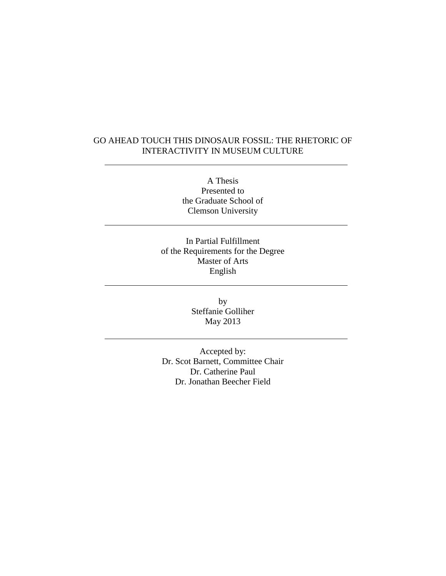### GO AHEAD TOUCH THIS DINOSAUR FOSSIL: THE RHETORIC OF INTERACTIVITY IN MUSEUM CULTURE

A Thesis Presented to the Graduate School of Clemson University

In Partial Fulfillment of the Requirements for the Degree Master of Arts English

> by Steffanie Golliher May 2013

Accepted by: Dr. Scot Barnett, Committee Chair Dr. Catherine Paul Dr. Jonathan Beecher Field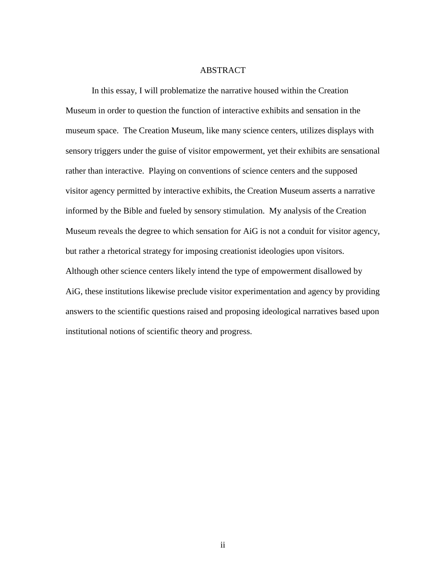#### ABSTRACT

In this essay, I will problematize the narrative housed within the Creation Museum in order to question the function of interactive exhibits and sensation in the museum space. The Creation Museum, like many science centers, utilizes displays with sensory triggers under the guise of visitor empowerment, yet their exhibits are sensational rather than interactive. Playing on conventions of science centers and the supposed visitor agency permitted by interactive exhibits, the Creation Museum asserts a narrative informed by the Bible and fueled by sensory stimulation. My analysis of the Creation Museum reveals the degree to which sensation for AiG is not a conduit for visitor agency, but rather a rhetorical strategy for imposing creationist ideologies upon visitors. Although other science centers likely intend the type of empowerment disallowed by AiG, these institutions likewise preclude visitor experimentation and agency by providing answers to the scientific questions raised and proposing ideological narratives based upon institutional notions of scientific theory and progress.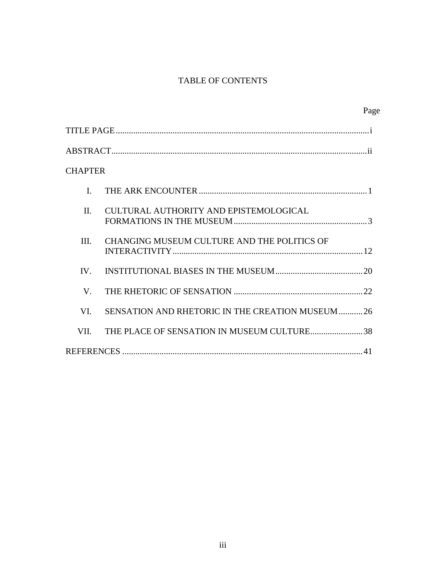## TABLE OF CONTENTS

|                |                                                 | Page |
|----------------|-------------------------------------------------|------|
|                |                                                 |      |
|                |                                                 |      |
| <b>CHAPTER</b> |                                                 |      |
| $\mathbf{I}$   |                                                 |      |
| $\Pi$          | CULTURAL AUTHORITY AND EPISTEMOLOGICAL          |      |
| III.           | CHANGING MUSEUM CULTURE AND THE POLITICS OF     |      |
| IV.            |                                                 |      |
| V.             |                                                 |      |
| VI.            | SENSATION AND RHETORIC IN THE CREATION MUSEUM26 |      |
| VII.           | THE PLACE OF SENSATION IN MUSEUM CULTURE38      |      |
|                |                                                 |      |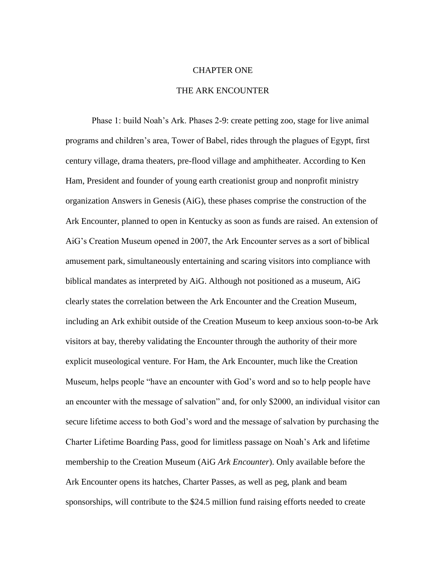#### CHAPTER ONE

#### THE ARK ENCOUNTER

Phase 1: build Noah's Ark. Phases 2-9: create petting zoo, stage for live animal programs and children's area, Tower of Babel, rides through the plagues of Egypt, first century village, drama theaters, pre-flood village and amphitheater. According to Ken Ham, President and founder of young earth creationist group and nonprofit ministry organization Answers in Genesis (AiG), these phases comprise the construction of the Ark Encounter, planned to open in Kentucky as soon as funds are raised. An extension of AiG's Creation Museum opened in 2007, the Ark Encounter serves as a sort of biblical amusement park, simultaneously entertaining and scaring visitors into compliance with biblical mandates as interpreted by AiG. Although not positioned as a museum, AiG clearly states the correlation between the Ark Encounter and the Creation Museum, including an Ark exhibit outside of the Creation Museum to keep anxious soon-to-be Ark visitors at bay, thereby validating the Encounter through the authority of their more explicit museological venture. For Ham, the Ark Encounter, much like the Creation Museum, helps people "have an encounter with God's word and so to help people have an encounter with the message of salvation" and, for only \$2000, an individual visitor can secure lifetime access to both God's word and the message of salvation by purchasing the Charter Lifetime Boarding Pass, good for limitless passage on Noah's Ark and lifetime membership to the Creation Museum (AiG *Ark Encounter*). Only available before the Ark Encounter opens its hatches, Charter Passes, as well as peg, plank and beam sponsorships, will contribute to the \$24.5 million fund raising efforts needed to create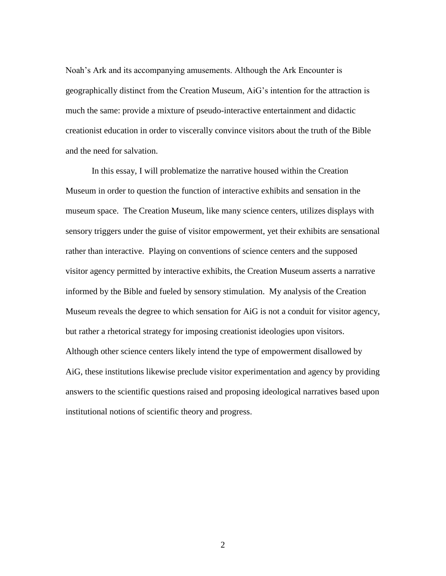Noah's Ark and its accompanying amusements. Although the Ark Encounter is geographically distinct from the Creation Museum, AiG's intention for the attraction is much the same: provide a mixture of pseudo-interactive entertainment and didactic creationist education in order to viscerally convince visitors about the truth of the Bible and the need for salvation.

In this essay, I will problematize the narrative housed within the Creation Museum in order to question the function of interactive exhibits and sensation in the museum space. The Creation Museum, like many science centers, utilizes displays with sensory triggers under the guise of visitor empowerment, yet their exhibits are sensational rather than interactive. Playing on conventions of science centers and the supposed visitor agency permitted by interactive exhibits, the Creation Museum asserts a narrative informed by the Bible and fueled by sensory stimulation. My analysis of the Creation Museum reveals the degree to which sensation for AiG is not a conduit for visitor agency, but rather a rhetorical strategy for imposing creationist ideologies upon visitors. Although other science centers likely intend the type of empowerment disallowed by AiG, these institutions likewise preclude visitor experimentation and agency by providing answers to the scientific questions raised and proposing ideological narratives based upon institutional notions of scientific theory and progress.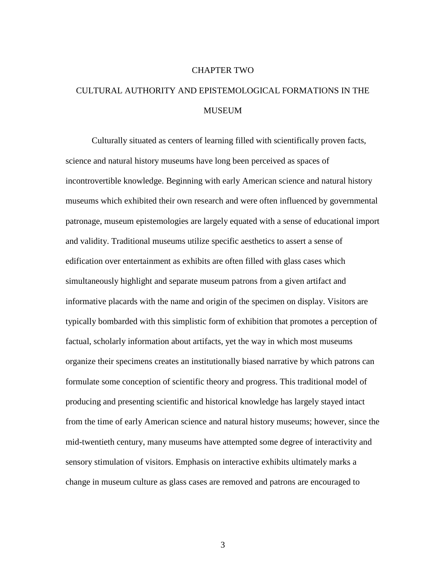#### CHAPTER TWO

## CULTURAL AUTHORITY AND EPISTEMOLOGICAL FORMATIONS IN THE MUSEUM

Culturally situated as centers of learning filled with scientifically proven facts, science and natural history museums have long been perceived as spaces of incontrovertible knowledge. Beginning with early American science and natural history museums which exhibited their own research and were often influenced by governmental patronage, museum epistemologies are largely equated with a sense of educational import and validity. Traditional museums utilize specific aesthetics to assert a sense of edification over entertainment as exhibits are often filled with glass cases which simultaneously highlight and separate museum patrons from a given artifact and informative placards with the name and origin of the specimen on display. Visitors are typically bombarded with this simplistic form of exhibition that promotes a perception of factual, scholarly information about artifacts, yet the way in which most museums organize their specimens creates an institutionally biased narrative by which patrons can formulate some conception of scientific theory and progress. This traditional model of producing and presenting scientific and historical knowledge has largely stayed intact from the time of early American science and natural history museums; however, since the mid-twentieth century, many museums have attempted some degree of interactivity and sensory stimulation of visitors. Emphasis on interactive exhibits ultimately marks a change in museum culture as glass cases are removed and patrons are encouraged to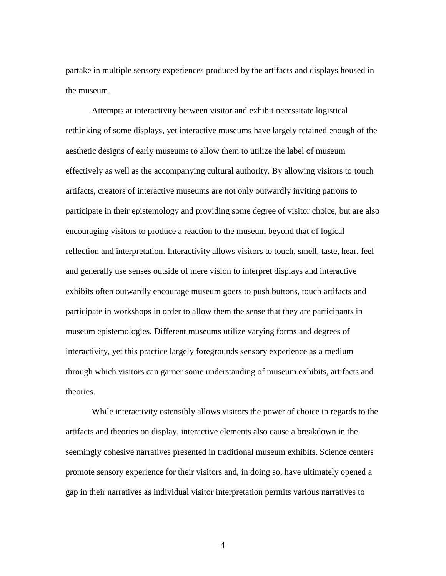partake in multiple sensory experiences produced by the artifacts and displays housed in the museum.

Attempts at interactivity between visitor and exhibit necessitate logistical rethinking of some displays, yet interactive museums have largely retained enough of the aesthetic designs of early museums to allow them to utilize the label of museum effectively as well as the accompanying cultural authority. By allowing visitors to touch artifacts, creators of interactive museums are not only outwardly inviting patrons to participate in their epistemology and providing some degree of visitor choice, but are also encouraging visitors to produce a reaction to the museum beyond that of logical reflection and interpretation. Interactivity allows visitors to touch, smell, taste, hear, feel and generally use senses outside of mere vision to interpret displays and interactive exhibits often outwardly encourage museum goers to push buttons, touch artifacts and participate in workshops in order to allow them the sense that they are participants in museum epistemologies. Different museums utilize varying forms and degrees of interactivity, yet this practice largely foregrounds sensory experience as a medium through which visitors can garner some understanding of museum exhibits, artifacts and theories.

While interactivity ostensibly allows visitors the power of choice in regards to the artifacts and theories on display, interactive elements also cause a breakdown in the seemingly cohesive narratives presented in traditional museum exhibits. Science centers promote sensory experience for their visitors and, in doing so, have ultimately opened a gap in their narratives as individual visitor interpretation permits various narratives to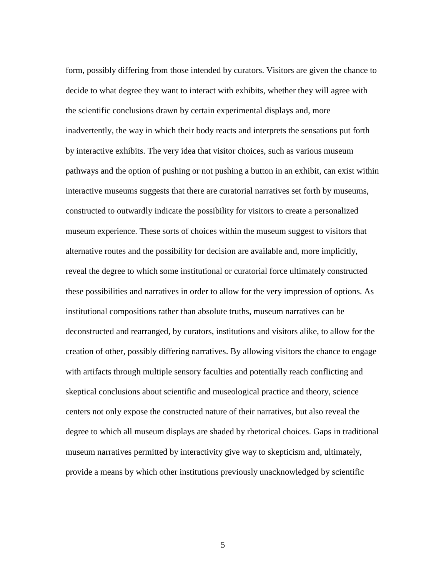form, possibly differing from those intended by curators. Visitors are given the chance to decide to what degree they want to interact with exhibits, whether they will agree with the scientific conclusions drawn by certain experimental displays and, more inadvertently, the way in which their body reacts and interprets the sensations put forth by interactive exhibits. The very idea that visitor choices, such as various museum pathways and the option of pushing or not pushing a button in an exhibit, can exist within interactive museums suggests that there are curatorial narratives set forth by museums, constructed to outwardly indicate the possibility for visitors to create a personalized museum experience. These sorts of choices within the museum suggest to visitors that alternative routes and the possibility for decision are available and, more implicitly, reveal the degree to which some institutional or curatorial force ultimately constructed these possibilities and narratives in order to allow for the very impression of options. As institutional compositions rather than absolute truths, museum narratives can be deconstructed and rearranged, by curators, institutions and visitors alike, to allow for the creation of other, possibly differing narratives. By allowing visitors the chance to engage with artifacts through multiple sensory faculties and potentially reach conflicting and skeptical conclusions about scientific and museological practice and theory, science centers not only expose the constructed nature of their narratives, but also reveal the degree to which all museum displays are shaded by rhetorical choices. Gaps in traditional museum narratives permitted by interactivity give way to skepticism and, ultimately, provide a means by which other institutions previously unacknowledged by scientific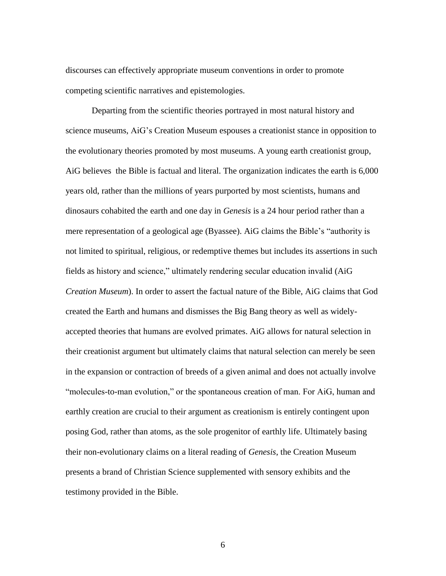discourses can effectively appropriate museum conventions in order to promote competing scientific narratives and epistemologies.

Departing from the scientific theories portrayed in most natural history and science museums, AiG's Creation Museum espouses a creationist stance in opposition to the evolutionary theories promoted by most museums. A young earth creationist group, AiG believes the Bible is factual and literal. The organization indicates the earth is 6,000 years old, rather than the millions of years purported by most scientists, humans and dinosaurs cohabited the earth and one day in *Genesis* is a 24 hour period rather than a mere representation of a geological age (Byassee). AiG claims the Bible's "authority is not limited to spiritual, religious, or redemptive themes but includes its assertions in such fields as history and science," ultimately rendering secular education invalid (AiG *Creation Museum*). In order to assert the factual nature of the Bible, AiG claims that God created the Earth and humans and dismisses the Big Bang theory as well as widelyaccepted theories that humans are evolved primates. AiG allows for natural selection in their creationist argument but ultimately claims that natural selection can merely be seen in the expansion or contraction of breeds of a given animal and does not actually involve "molecules-to-man evolution," or the spontaneous creation of man. For AiG, human and earthly creation are crucial to their argument as creationism is entirely contingent upon posing God, rather than atoms, as the sole progenitor of earthly life. Ultimately basing their non-evolutionary claims on a literal reading of *Genesis*, the Creation Museum presents a brand of Christian Science supplemented with sensory exhibits and the testimony provided in the Bible.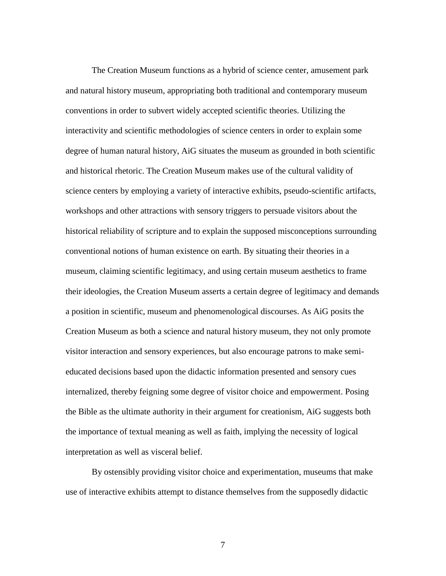The Creation Museum functions as a hybrid of science center, amusement park and natural history museum, appropriating both traditional and contemporary museum conventions in order to subvert widely accepted scientific theories. Utilizing the interactivity and scientific methodologies of science centers in order to explain some degree of human natural history, AiG situates the museum as grounded in both scientific and historical rhetoric. The Creation Museum makes use of the cultural validity of science centers by employing a variety of interactive exhibits, pseudo-scientific artifacts, workshops and other attractions with sensory triggers to persuade visitors about the historical reliability of scripture and to explain the supposed misconceptions surrounding conventional notions of human existence on earth. By situating their theories in a museum, claiming scientific legitimacy, and using certain museum aesthetics to frame their ideologies, the Creation Museum asserts a certain degree of legitimacy and demands a position in scientific, museum and phenomenological discourses. As AiG posits the Creation Museum as both a science and natural history museum, they not only promote visitor interaction and sensory experiences, but also encourage patrons to make semieducated decisions based upon the didactic information presented and sensory cues internalized, thereby feigning some degree of visitor choice and empowerment. Posing the Bible as the ultimate authority in their argument for creationism, AiG suggests both the importance of textual meaning as well as faith, implying the necessity of logical interpretation as well as visceral belief.

By ostensibly providing visitor choice and experimentation, museums that make use of interactive exhibits attempt to distance themselves from the supposedly didactic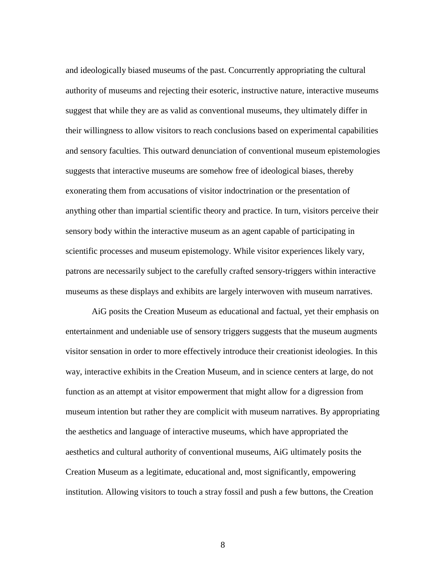and ideologically biased museums of the past. Concurrently appropriating the cultural authority of museums and rejecting their esoteric, instructive nature, interactive museums suggest that while they are as valid as conventional museums, they ultimately differ in their willingness to allow visitors to reach conclusions based on experimental capabilities and sensory faculties. This outward denunciation of conventional museum epistemologies suggests that interactive museums are somehow free of ideological biases, thereby exonerating them from accusations of visitor indoctrination or the presentation of anything other than impartial scientific theory and practice. In turn, visitors perceive their sensory body within the interactive museum as an agent capable of participating in scientific processes and museum epistemology. While visitor experiences likely vary, patrons are necessarily subject to the carefully crafted sensory-triggers within interactive museums as these displays and exhibits are largely interwoven with museum narratives.

AiG posits the Creation Museum as educational and factual, yet their emphasis on entertainment and undeniable use of sensory triggers suggests that the museum augments visitor sensation in order to more effectively introduce their creationist ideologies. In this way, interactive exhibits in the Creation Museum, and in science centers at large, do not function as an attempt at visitor empowerment that might allow for a digression from museum intention but rather they are complicit with museum narratives. By appropriating the aesthetics and language of interactive museums, which have appropriated the aesthetics and cultural authority of conventional museums, AiG ultimately posits the Creation Museum as a legitimate, educational and, most significantly, empowering institution. Allowing visitors to touch a stray fossil and push a few buttons, the Creation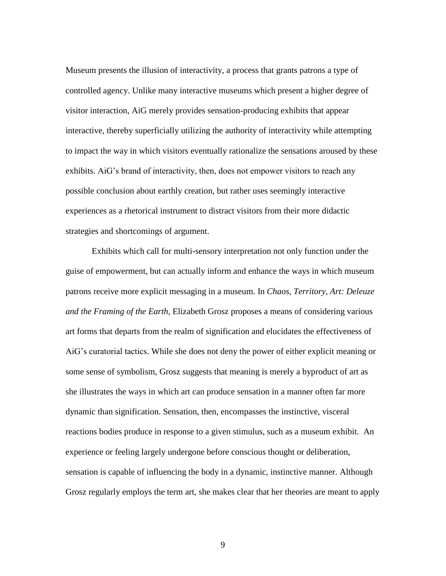Museum presents the illusion of interactivity, a process that grants patrons a type of controlled agency. Unlike many interactive museums which present a higher degree of visitor interaction, AiG merely provides sensation-producing exhibits that appear interactive, thereby superficially utilizing the authority of interactivity while attempting to impact the way in which visitors eventually rationalize the sensations aroused by these exhibits. AiG's brand of interactivity, then, does not empower visitors to reach any possible conclusion about earthly creation, but rather uses seemingly interactive experiences as a rhetorical instrument to distract visitors from their more didactic strategies and shortcomings of argument.

Exhibits which call for multi-sensory interpretation not only function under the guise of empowerment, but can actually inform and enhance the ways in which museum patrons receive more explicit messaging in a museum. In *Chaos, Territory, Art: Deleuze and the Framing of the Earth*, Elizabeth Grosz proposes a means of considering various art forms that departs from the realm of signification and elucidates the effectiveness of AiG's curatorial tactics. While she does not deny the power of either explicit meaning or some sense of symbolism, Grosz suggests that meaning is merely a byproduct of art as she illustrates the ways in which art can produce sensation in a manner often far more dynamic than signification. Sensation, then, encompasses the instinctive, visceral reactions bodies produce in response to a given stimulus, such as a museum exhibit. An experience or feeling largely undergone before conscious thought or deliberation, sensation is capable of influencing the body in a dynamic, instinctive manner. Although Grosz regularly employs the term art, she makes clear that her theories are meant to apply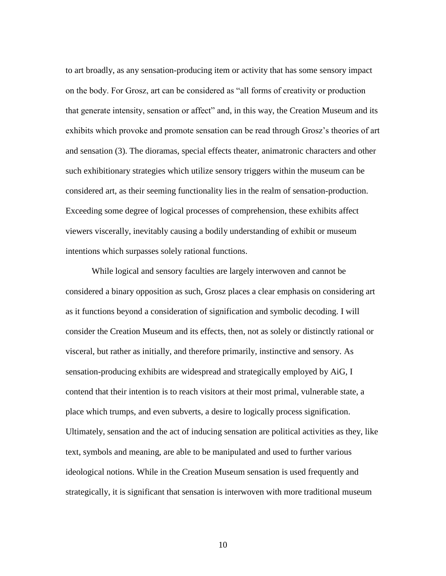to art broadly, as any sensation-producing item or activity that has some sensory impact on the body. For Grosz, art can be considered as "all forms of creativity or production that generate intensity, sensation or affect" and, in this way, the Creation Museum and its exhibits which provoke and promote sensation can be read through Grosz's theories of art and sensation (3). The dioramas, special effects theater, animatronic characters and other such exhibitionary strategies which utilize sensory triggers within the museum can be considered art, as their seeming functionality lies in the realm of sensation-production. Exceeding some degree of logical processes of comprehension, these exhibits affect viewers viscerally, inevitably causing a bodily understanding of exhibit or museum intentions which surpasses solely rational functions.

While logical and sensory faculties are largely interwoven and cannot be considered a binary opposition as such, Grosz places a clear emphasis on considering art as it functions beyond a consideration of signification and symbolic decoding. I will consider the Creation Museum and its effects, then, not as solely or distinctly rational or visceral, but rather as initially, and therefore primarily, instinctive and sensory. As sensation-producing exhibits are widespread and strategically employed by AiG, I contend that their intention is to reach visitors at their most primal, vulnerable state, a place which trumps, and even subverts, a desire to logically process signification. Ultimately, sensation and the act of inducing sensation are political activities as they, like text, symbols and meaning, are able to be manipulated and used to further various ideological notions. While in the Creation Museum sensation is used frequently and strategically, it is significant that sensation is interwoven with more traditional museum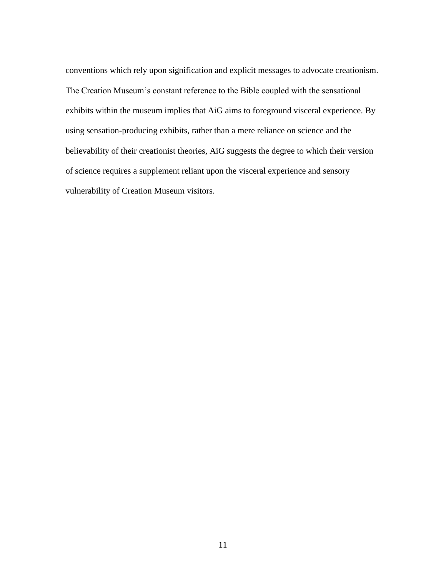conventions which rely upon signification and explicit messages to advocate creationism. The Creation Museum's constant reference to the Bible coupled with the sensational exhibits within the museum implies that AiG aims to foreground visceral experience. By using sensation-producing exhibits, rather than a mere reliance on science and the believability of their creationist theories, AiG suggests the degree to which their version of science requires a supplement reliant upon the visceral experience and sensory vulnerability of Creation Museum visitors.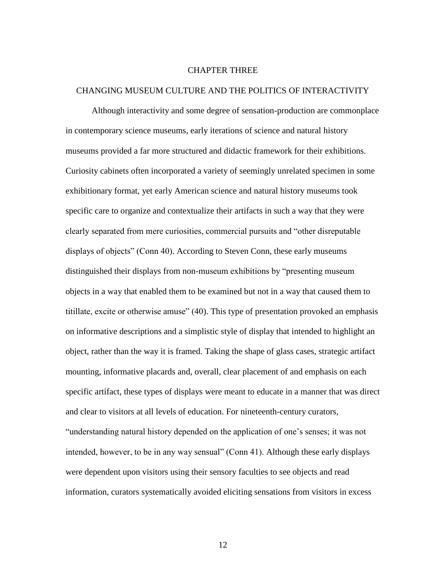#### CHAPTER THREE

#### CHANGING MUSEUM CULTURE AND THE POLITICS OF INTERACTIVITY

Although interactivity and some degree of sensation-production are commonplace in contemporary science museums, early iterations of science and natural history museums provided a far more structured and didactic framework for their exhibitions. Curiosity cabinets often incorporated a variety of seemingly unrelated specimen in some exhibitionary format, yet early American science and natural history museums took specific care to organize and contextualize their artifacts in such a way that they were clearly separated from mere curiosities, commercial pursuits and "other disreputable displays of objects" (Conn 40). According to Steven Conn, these early museums distinguished their displays from non-museum exhibitions by "presenting museum objects in a way that enabled them to be examined but not in a way that caused them to titillate, excite or otherwise amuse" (40). This type of presentation provoked an emphasis on informative descriptions and a simplistic style of display that intended to highlight an object, rather than the way it is framed. Taking the shape of glass cases, strategic artifact mounting, informative placards and, overall, clear placement of and emphasis on each specific artifact, these types of displays were meant to educate in a manner that was direct and clear to visitors at all levels of education. For nineteenth-century curators, "understanding natural history depended on the application of one's senses; it was not intended, however, to be in any way sensual" (Conn 41). Although these early displays were dependent upon visitors using their sensory faculties to see objects and read information, curators systematically avoided eliciting sensations from visitors in excess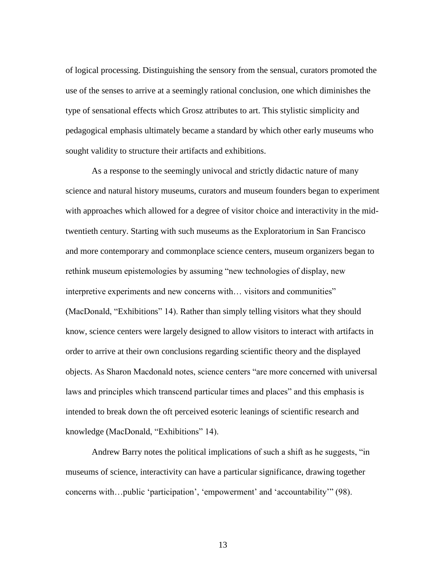of logical processing. Distinguishing the sensory from the sensual, curators promoted the use of the senses to arrive at a seemingly rational conclusion, one which diminishes the type of sensational effects which Grosz attributes to art. This stylistic simplicity and pedagogical emphasis ultimately became a standard by which other early museums who sought validity to structure their artifacts and exhibitions.

As a response to the seemingly univocal and strictly didactic nature of many science and natural history museums, curators and museum founders began to experiment with approaches which allowed for a degree of visitor choice and interactivity in the midtwentieth century. Starting with such museums as the Exploratorium in San Francisco and more contemporary and commonplace science centers, museum organizers began to rethink museum epistemologies by assuming "new technologies of display, new interpretive experiments and new concerns with… visitors and communities" (MacDonald, "Exhibitions" 14). Rather than simply telling visitors what they should know, science centers were largely designed to allow visitors to interact with artifacts in order to arrive at their own conclusions regarding scientific theory and the displayed objects. As Sharon Macdonald notes, science centers "are more concerned with universal laws and principles which transcend particular times and places" and this emphasis is intended to break down the oft perceived esoteric leanings of scientific research and knowledge (MacDonald, "Exhibitions" 14).

Andrew Barry notes the political implications of such a shift as he suggests, "in museums of science, interactivity can have a particular significance, drawing together concerns with…public 'participation', 'empowerment' and 'accountability'" (98).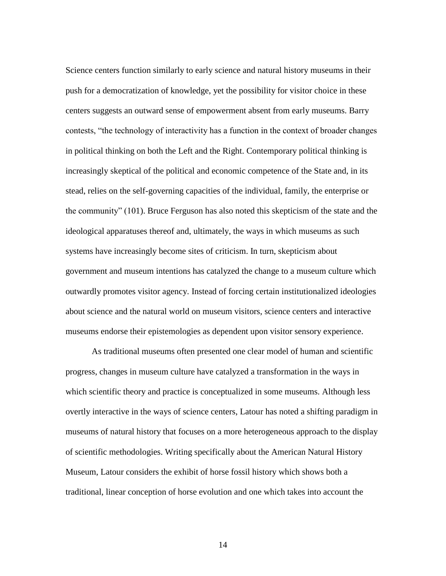Science centers function similarly to early science and natural history museums in their push for a democratization of knowledge, yet the possibility for visitor choice in these centers suggests an outward sense of empowerment absent from early museums. Barry contests, "the technology of interactivity has a function in the context of broader changes in political thinking on both the Left and the Right. Contemporary political thinking is increasingly skeptical of the political and economic competence of the State and, in its stead, relies on the self-governing capacities of the individual, family, the enterprise or the community" (101). Bruce Ferguson has also noted this skepticism of the state and the ideological apparatuses thereof and, ultimately, the ways in which museums as such systems have increasingly become sites of criticism. In turn, skepticism about government and museum intentions has catalyzed the change to a museum culture which outwardly promotes visitor agency. Instead of forcing certain institutionalized ideologies about science and the natural world on museum visitors, science centers and interactive museums endorse their epistemologies as dependent upon visitor sensory experience.

As traditional museums often presented one clear model of human and scientific progress, changes in museum culture have catalyzed a transformation in the ways in which scientific theory and practice is conceptualized in some museums. Although less overtly interactive in the ways of science centers, Latour has noted a shifting paradigm in museums of natural history that focuses on a more heterogeneous approach to the display of scientific methodologies. Writing specifically about the American Natural History Museum, Latour considers the exhibit of horse fossil history which shows both a traditional, linear conception of horse evolution and one which takes into account the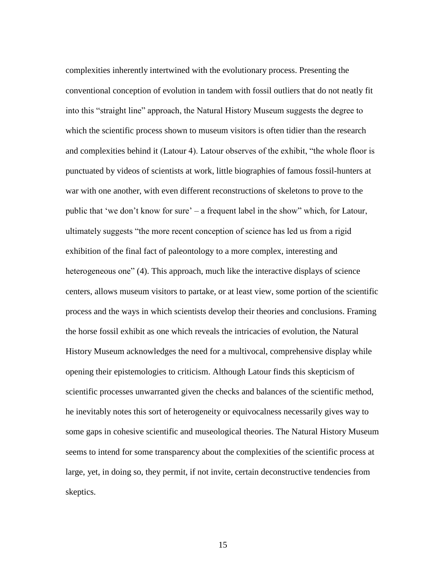complexities inherently intertwined with the evolutionary process. Presenting the conventional conception of evolution in tandem with fossil outliers that do not neatly fit into this "straight line" approach, the Natural History Museum suggests the degree to which the scientific process shown to museum visitors is often tidier than the research and complexities behind it (Latour 4). Latour observes of the exhibit, "the whole floor is punctuated by videos of scientists at work, little biographies of famous fossil-hunters at war with one another, with even different reconstructions of skeletons to prove to the public that 'we don't know for sure' – a frequent label in the show" which, for Latour, ultimately suggests "the more recent conception of science has led us from a rigid exhibition of the final fact of paleontology to a more complex, interesting and heterogeneous one" (4). This approach, much like the interactive displays of science centers, allows museum visitors to partake, or at least view, some portion of the scientific process and the ways in which scientists develop their theories and conclusions. Framing the horse fossil exhibit as one which reveals the intricacies of evolution, the Natural History Museum acknowledges the need for a multivocal, comprehensive display while opening their epistemologies to criticism. Although Latour finds this skepticism of scientific processes unwarranted given the checks and balances of the scientific method, he inevitably notes this sort of heterogeneity or equivocalness necessarily gives way to some gaps in cohesive scientific and museological theories. The Natural History Museum seems to intend for some transparency about the complexities of the scientific process at large, yet, in doing so, they permit, if not invite, certain deconstructive tendencies from skeptics.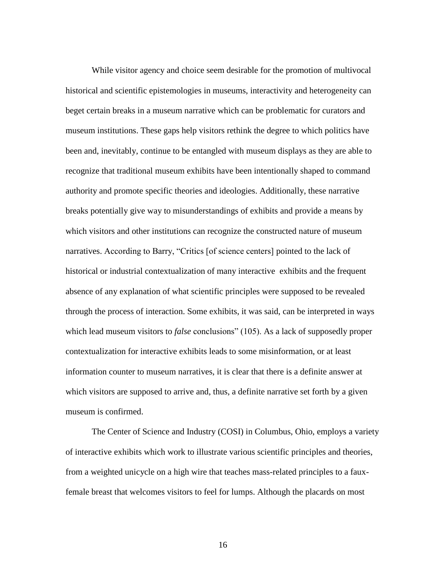While visitor agency and choice seem desirable for the promotion of multivocal historical and scientific epistemologies in museums, interactivity and heterogeneity can beget certain breaks in a museum narrative which can be problematic for curators and museum institutions. These gaps help visitors rethink the degree to which politics have been and, inevitably, continue to be entangled with museum displays as they are able to recognize that traditional museum exhibits have been intentionally shaped to command authority and promote specific theories and ideologies. Additionally, these narrative breaks potentially give way to misunderstandings of exhibits and provide a means by which visitors and other institutions can recognize the constructed nature of museum narratives. According to Barry, "Critics [of science centers] pointed to the lack of historical or industrial contextualization of many interactive exhibits and the frequent absence of any explanation of what scientific principles were supposed to be revealed through the process of interaction. Some exhibits, it was said, can be interpreted in ways which lead museum visitors to *false* conclusions" (105). As a lack of supposedly proper contextualization for interactive exhibits leads to some misinformation, or at least information counter to museum narratives, it is clear that there is a definite answer at which visitors are supposed to arrive and, thus, a definite narrative set forth by a given museum is confirmed.

The Center of Science and Industry (COSI) in Columbus, Ohio, employs a variety of interactive exhibits which work to illustrate various scientific principles and theories, from a weighted unicycle on a high wire that teaches mass-related principles to a fauxfemale breast that welcomes visitors to feel for lumps. Although the placards on most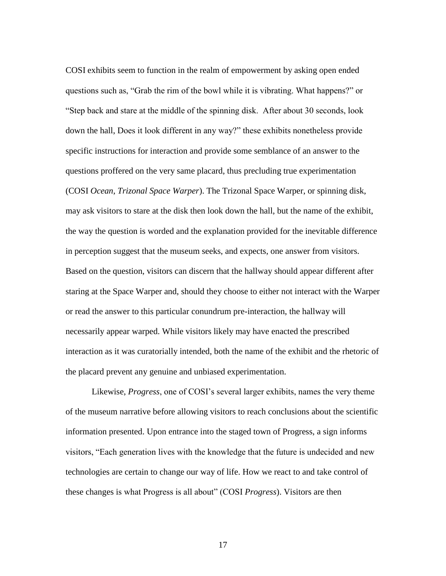COSI exhibits seem to function in the realm of empowerment by asking open ended questions such as, "Grab the rim of the bowl while it is vibrating. What happens?" or "Step back and stare at the middle of the spinning disk. After about 30 seconds, look down the hall, Does it look different in any way?" these exhibits nonetheless provide specific instructions for interaction and provide some semblance of an answer to the questions proffered on the very same placard, thus precluding true experimentation (COSI *Ocean*, *Trizonal Space Warper*). The Trizonal Space Warper, or spinning disk, may ask visitors to stare at the disk then look down the hall, but the name of the exhibit, the way the question is worded and the explanation provided for the inevitable difference in perception suggest that the museum seeks, and expects, one answer from visitors. Based on the question, visitors can discern that the hallway should appear different after staring at the Space Warper and, should they choose to either not interact with the Warper or read the answer to this particular conundrum pre-interaction, the hallway will necessarily appear warped. While visitors likely may have enacted the prescribed interaction as it was curatorially intended, both the name of the exhibit and the rhetoric of the placard prevent any genuine and unbiased experimentation.

Likewise, *Progress*, one of COSI's several larger exhibits, names the very theme of the museum narrative before allowing visitors to reach conclusions about the scientific information presented. Upon entrance into the staged town of Progress, a sign informs visitors, "Each generation lives with the knowledge that the future is undecided and new technologies are certain to change our way of life. How we react to and take control of these changes is what Progress is all about" (COSI *Progress*). Visitors are then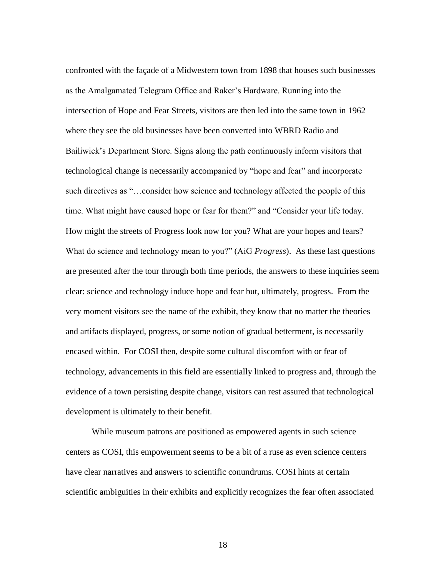confronted with the façade of a Midwestern town from 1898 that houses such businesses as the Amalgamated Telegram Office and Raker's Hardware. Running into the intersection of Hope and Fear Streets, visitors are then led into the same town in 1962 where they see the old businesses have been converted into WBRD Radio and Bailiwick's Department Store. Signs along the path continuously inform visitors that technological change is necessarily accompanied by "hope and fear" and incorporate such directives as "…consider how science and technology affected the people of this time. What might have caused hope or fear for them?" and "Consider your life today. How might the streets of Progress look now for you? What are your hopes and fears? What do science and technology mean to you?" (AiG *Progress*). As these last questions are presented after the tour through both time periods, the answers to these inquiries seem clear: science and technology induce hope and fear but, ultimately, progress. From the very moment visitors see the name of the exhibit, they know that no matter the theories and artifacts displayed, progress, or some notion of gradual betterment, is necessarily encased within. For COSI then, despite some cultural discomfort with or fear of technology, advancements in this field are essentially linked to progress and, through the evidence of a town persisting despite change, visitors can rest assured that technological development is ultimately to their benefit.

While museum patrons are positioned as empowered agents in such science centers as COSI, this empowerment seems to be a bit of a ruse as even science centers have clear narratives and answers to scientific conundrums. COSI hints at certain scientific ambiguities in their exhibits and explicitly recognizes the fear often associated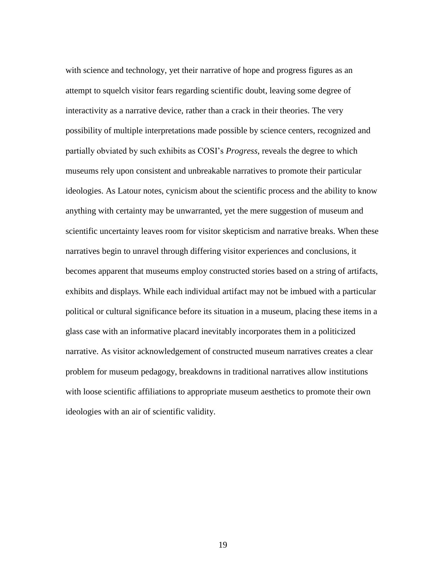with science and technology, yet their narrative of hope and progress figures as an attempt to squelch visitor fears regarding scientific doubt, leaving some degree of interactivity as a narrative device, rather than a crack in their theories. The very possibility of multiple interpretations made possible by science centers, recognized and partially obviated by such exhibits as COSI's *Progress*, reveals the degree to which museums rely upon consistent and unbreakable narratives to promote their particular ideologies. As Latour notes, cynicism about the scientific process and the ability to know anything with certainty may be unwarranted, yet the mere suggestion of museum and scientific uncertainty leaves room for visitor skepticism and narrative breaks. When these narratives begin to unravel through differing visitor experiences and conclusions, it becomes apparent that museums employ constructed stories based on a string of artifacts, exhibits and displays. While each individual artifact may not be imbued with a particular political or cultural significance before its situation in a museum, placing these items in a glass case with an informative placard inevitably incorporates them in a politicized narrative. As visitor acknowledgement of constructed museum narratives creates a clear problem for museum pedagogy, breakdowns in traditional narratives allow institutions with loose scientific affiliations to appropriate museum aesthetics to promote their own ideologies with an air of scientific validity.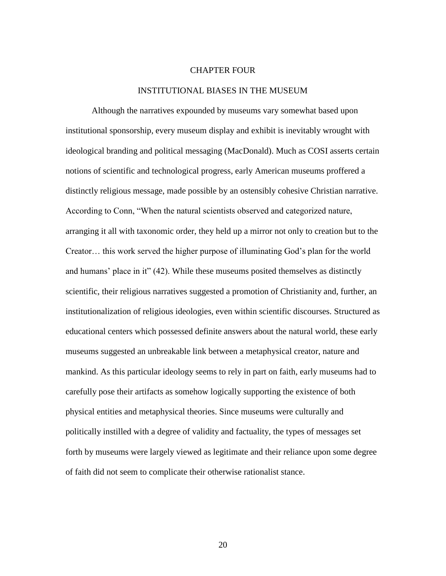#### CHAPTER FOUR

#### INSTITUTIONAL BIASES IN THE MUSEUM

Although the narratives expounded by museums vary somewhat based upon institutional sponsorship, every museum display and exhibit is inevitably wrought with ideological branding and political messaging (MacDonald). Much as COSI asserts certain notions of scientific and technological progress, early American museums proffered a distinctly religious message, made possible by an ostensibly cohesive Christian narrative. According to Conn, "When the natural scientists observed and categorized nature, arranging it all with taxonomic order, they held up a mirror not only to creation but to the Creator… this work served the higher purpose of illuminating God's plan for the world and humans' place in it" (42). While these museums posited themselves as distinctly scientific, their religious narratives suggested a promotion of Christianity and, further, an institutionalization of religious ideologies, even within scientific discourses. Structured as educational centers which possessed definite answers about the natural world, these early museums suggested an unbreakable link between a metaphysical creator, nature and mankind. As this particular ideology seems to rely in part on faith, early museums had to carefully pose their artifacts as somehow logically supporting the existence of both physical entities and metaphysical theories. Since museums were culturally and politically instilled with a degree of validity and factuality, the types of messages set forth by museums were largely viewed as legitimate and their reliance upon some degree of faith did not seem to complicate their otherwise rationalist stance.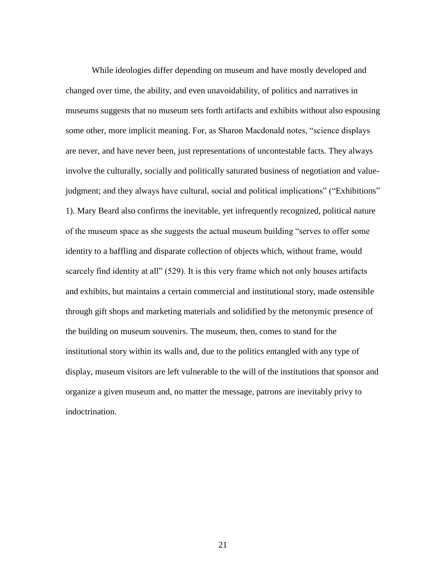While ideologies differ depending on museum and have mostly developed and changed over time, the ability, and even unavoidability, of politics and narratives in museums suggests that no museum sets forth artifacts and exhibits without also espousing some other, more implicit meaning. For, as Sharon Macdonald notes, "science displays are never, and have never been, just representations of uncontestable facts. They always involve the culturally, socially and politically saturated business of negotiation and valuejudgment; and they always have cultural, social and political implications" ("Exhibitions" 1). Mary Beard also confirms the inevitable, yet infrequently recognized, political nature of the museum space as she suggests the actual museum building "serves to offer some identity to a baffling and disparate collection of objects which, without frame, would scarcely find identity at all" (529). It is this very frame which not only houses artifacts and exhibits, but maintains a certain commercial and institutional story, made ostensible through gift shops and marketing materials and solidified by the metonymic presence of the building on museum souvenirs. The museum, then, comes to stand for the institutional story within its walls and, due to the politics entangled with any type of display, museum visitors are left vulnerable to the will of the institutions that sponsor and organize a given museum and, no matter the message, patrons are inevitably privy to indoctrination.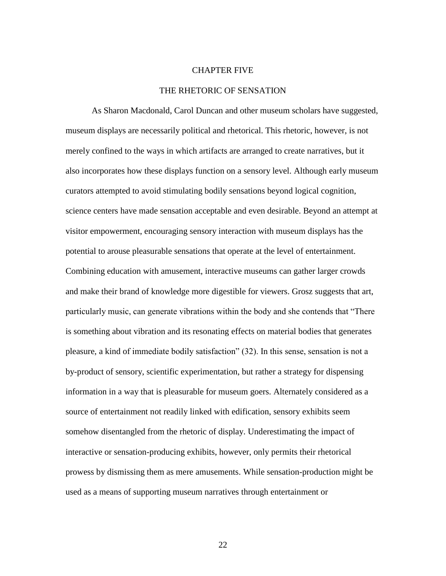#### CHAPTER FIVE

#### THE RHETORIC OF SENSATION

As Sharon Macdonald, Carol Duncan and other museum scholars have suggested, museum displays are necessarily political and rhetorical. This rhetoric, however, is not merely confined to the ways in which artifacts are arranged to create narratives, but it also incorporates how these displays function on a sensory level. Although early museum curators attempted to avoid stimulating bodily sensations beyond logical cognition, science centers have made sensation acceptable and even desirable. Beyond an attempt at visitor empowerment, encouraging sensory interaction with museum displays has the potential to arouse pleasurable sensations that operate at the level of entertainment. Combining education with amusement, interactive museums can gather larger crowds and make their brand of knowledge more digestible for viewers. Grosz suggests that art, particularly music, can generate vibrations within the body and she contends that "There is something about vibration and its resonating effects on material bodies that generates pleasure, a kind of immediate bodily satisfaction" (32). In this sense, sensation is not a by-product of sensory, scientific experimentation, but rather a strategy for dispensing information in a way that is pleasurable for museum goers. Alternately considered as a source of entertainment not readily linked with edification, sensory exhibits seem somehow disentangled from the rhetoric of display. Underestimating the impact of interactive or sensation-producing exhibits, however, only permits their rhetorical prowess by dismissing them as mere amusements. While sensation-production might be used as a means of supporting museum narratives through entertainment or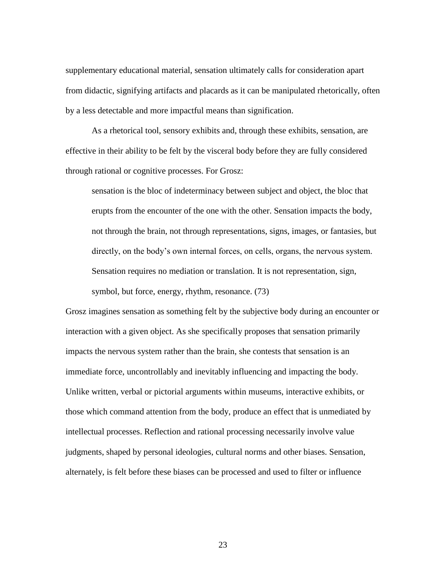supplementary educational material, sensation ultimately calls for consideration apart from didactic, signifying artifacts and placards as it can be manipulated rhetorically, often by a less detectable and more impactful means than signification.

As a rhetorical tool, sensory exhibits and, through these exhibits, sensation, are effective in their ability to be felt by the visceral body before they are fully considered through rational or cognitive processes. For Grosz:

sensation is the bloc of indeterminacy between subject and object, the bloc that erupts from the encounter of the one with the other. Sensation impacts the body, not through the brain, not through representations, signs, images, or fantasies, but directly, on the body's own internal forces, on cells, organs, the nervous system. Sensation requires no mediation or translation. It is not representation, sign,

symbol, but force, energy, rhythm, resonance. (73)

Grosz imagines sensation as something felt by the subjective body during an encounter or interaction with a given object. As she specifically proposes that sensation primarily impacts the nervous system rather than the brain, she contests that sensation is an immediate force, uncontrollably and inevitably influencing and impacting the body. Unlike written, verbal or pictorial arguments within museums, interactive exhibits, or those which command attention from the body, produce an effect that is unmediated by intellectual processes. Reflection and rational processing necessarily involve value judgments, shaped by personal ideologies, cultural norms and other biases. Sensation, alternately, is felt before these biases can be processed and used to filter or influence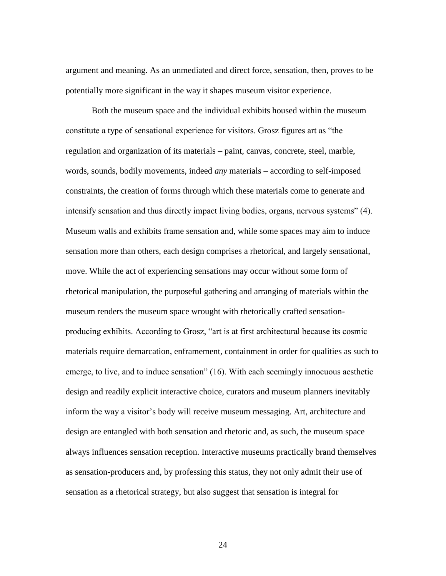argument and meaning. As an unmediated and direct force, sensation, then, proves to be potentially more significant in the way it shapes museum visitor experience.

Both the museum space and the individual exhibits housed within the museum constitute a type of sensational experience for visitors. Grosz figures art as "the regulation and organization of its materials – paint, canvas, concrete, steel, marble, words, sounds, bodily movements, indeed *any* materials – according to self-imposed constraints, the creation of forms through which these materials come to generate and intensify sensation and thus directly impact living bodies, organs, nervous systems" (4). Museum walls and exhibits frame sensation and, while some spaces may aim to induce sensation more than others, each design comprises a rhetorical, and largely sensational, move. While the act of experiencing sensations may occur without some form of rhetorical manipulation, the purposeful gathering and arranging of materials within the museum renders the museum space wrought with rhetorically crafted sensationproducing exhibits. According to Grosz, "art is at first architectural because its cosmic materials require demarcation, enframement, containment in order for qualities as such to emerge, to live, and to induce sensation" (16). With each seemingly innocuous aesthetic design and readily explicit interactive choice, curators and museum planners inevitably inform the way a visitor's body will receive museum messaging. Art, architecture and design are entangled with both sensation and rhetoric and, as such, the museum space always influences sensation reception. Interactive museums practically brand themselves as sensation-producers and, by professing this status, they not only admit their use of sensation as a rhetorical strategy, but also suggest that sensation is integral for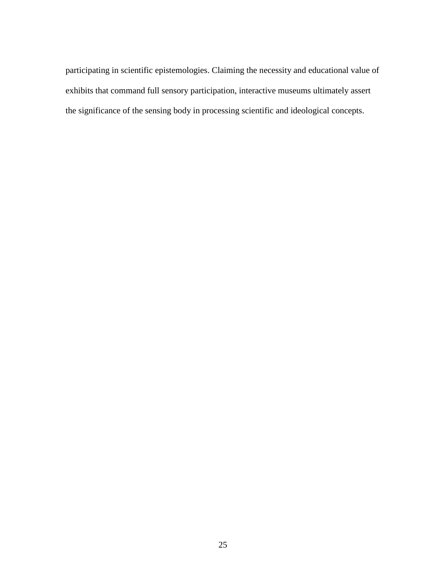participating in scientific epistemologies. Claiming the necessity and educational value of exhibits that command full sensory participation, interactive museums ultimately assert the significance of the sensing body in processing scientific and ideological concepts.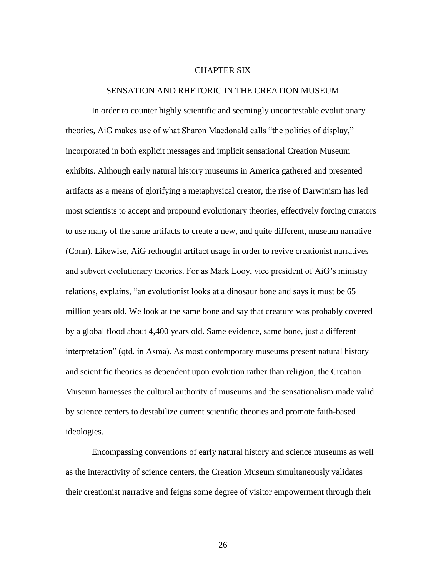#### CHAPTER SIX

#### SENSATION AND RHETORIC IN THE CREATION MUSEUM

In order to counter highly scientific and seemingly uncontestable evolutionary theories, AiG makes use of what Sharon Macdonald calls "the politics of display," incorporated in both explicit messages and implicit sensational Creation Museum exhibits. Although early natural history museums in America gathered and presented artifacts as a means of glorifying a metaphysical creator, the rise of Darwinism has led most scientists to accept and propound evolutionary theories, effectively forcing curators to use many of the same artifacts to create a new, and quite different, museum narrative (Conn). Likewise, AiG rethought artifact usage in order to revive creationist narratives and subvert evolutionary theories. For as Mark Looy, vice president of AiG's ministry relations, explains, "an evolutionist looks at a dinosaur bone and says it must be 65 million years old. We look at the same bone and say that creature was probably covered by a global flood about 4,400 years old. Same evidence, same bone, just a different interpretation" (qtd. in Asma). As most contemporary museums present natural history and scientific theories as dependent upon evolution rather than religion, the Creation Museum harnesses the cultural authority of museums and the sensationalism made valid by science centers to destabilize current scientific theories and promote faith-based ideologies.

Encompassing conventions of early natural history and science museums as well as the interactivity of science centers, the Creation Museum simultaneously validates their creationist narrative and feigns some degree of visitor empowerment through their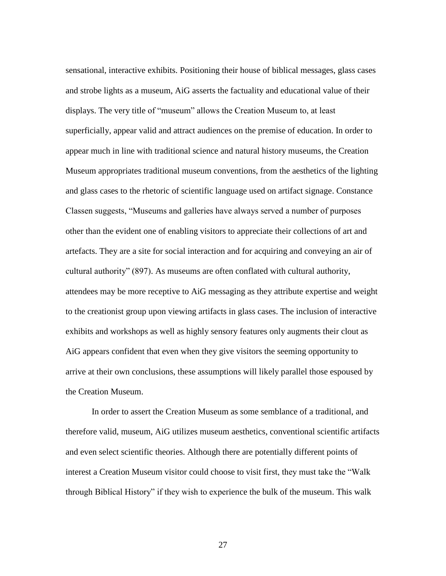sensational, interactive exhibits. Positioning their house of biblical messages, glass cases and strobe lights as a museum, AiG asserts the factuality and educational value of their displays. The very title of "museum" allows the Creation Museum to, at least superficially, appear valid and attract audiences on the premise of education. In order to appear much in line with traditional science and natural history museums, the Creation Museum appropriates traditional museum conventions, from the aesthetics of the lighting and glass cases to the rhetoric of scientific language used on artifact signage. Constance Classen suggests, "Museums and galleries have always served a number of purposes other than the evident one of enabling visitors to appreciate their collections of art and artefacts. They are a site for social interaction and for acquiring and conveying an air of cultural authority" (897). As museums are often conflated with cultural authority, attendees may be more receptive to AiG messaging as they attribute expertise and weight to the creationist group upon viewing artifacts in glass cases. The inclusion of interactive exhibits and workshops as well as highly sensory features only augments their clout as AiG appears confident that even when they give visitors the seeming opportunity to arrive at their own conclusions, these assumptions will likely parallel those espoused by the Creation Museum.

In order to assert the Creation Museum as some semblance of a traditional, and therefore valid, museum, AiG utilizes museum aesthetics, conventional scientific artifacts and even select scientific theories. Although there are potentially different points of interest a Creation Museum visitor could choose to visit first, they must take the "Walk through Biblical History" if they wish to experience the bulk of the museum. This walk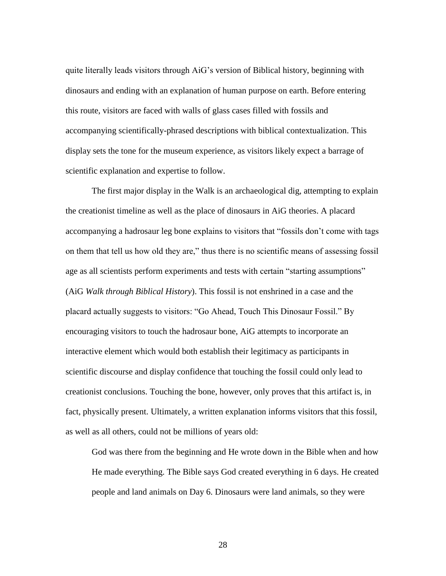quite literally leads visitors through AiG's version of Biblical history, beginning with dinosaurs and ending with an explanation of human purpose on earth. Before entering this route, visitors are faced with walls of glass cases filled with fossils and accompanying scientifically-phrased descriptions with biblical contextualization. This display sets the tone for the museum experience, as visitors likely expect a barrage of scientific explanation and expertise to follow.

The first major display in the Walk is an archaeological dig, attempting to explain the creationist timeline as well as the place of dinosaurs in AiG theories. A placard accompanying a hadrosaur leg bone explains to visitors that "fossils don't come with tags on them that tell us how old they are," thus there is no scientific means of assessing fossil age as all scientists perform experiments and tests with certain "starting assumptions" (AiG *Walk through Biblical History*). This fossil is not enshrined in a case and the placard actually suggests to visitors: "Go Ahead, Touch This Dinosaur Fossil." By encouraging visitors to touch the hadrosaur bone, AiG attempts to incorporate an interactive element which would both establish their legitimacy as participants in scientific discourse and display confidence that touching the fossil could only lead to creationist conclusions. Touching the bone, however, only proves that this artifact is, in fact, physically present. Ultimately, a written explanation informs visitors that this fossil, as well as all others, could not be millions of years old:

God was there from the beginning and He wrote down in the Bible when and how He made everything. The Bible says God created everything in 6 days. He created people and land animals on Day 6. Dinosaurs were land animals, so they were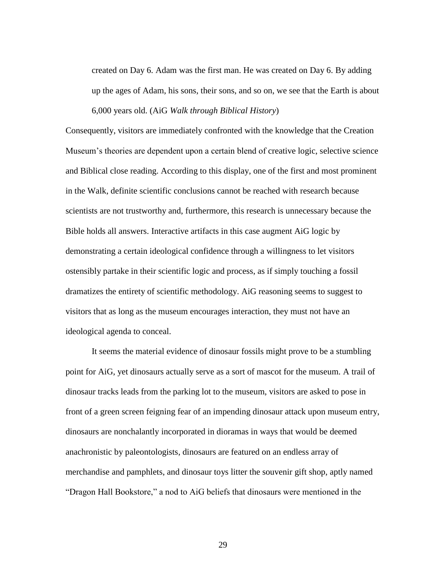created on Day 6. Adam was the first man. He was created on Day 6. By adding up the ages of Adam, his sons, their sons, and so on, we see that the Earth is about 6,000 years old. (AiG *Walk through Biblical History*)

Consequently, visitors are immediately confronted with the knowledge that the Creation Museum's theories are dependent upon a certain blend of creative logic, selective science and Biblical close reading. According to this display, one of the first and most prominent in the Walk, definite scientific conclusions cannot be reached with research because scientists are not trustworthy and, furthermore, this research is unnecessary because the Bible holds all answers. Interactive artifacts in this case augment AiG logic by demonstrating a certain ideological confidence through a willingness to let visitors ostensibly partake in their scientific logic and process, as if simply touching a fossil dramatizes the entirety of scientific methodology. AiG reasoning seems to suggest to visitors that as long as the museum encourages interaction, they must not have an ideological agenda to conceal.

It seems the material evidence of dinosaur fossils might prove to be a stumbling point for AiG, yet dinosaurs actually serve as a sort of mascot for the museum. A trail of dinosaur tracks leads from the parking lot to the museum, visitors are asked to pose in front of a green screen feigning fear of an impending dinosaur attack upon museum entry, dinosaurs are nonchalantly incorporated in dioramas in ways that would be deemed anachronistic by paleontologists, dinosaurs are featured on an endless array of merchandise and pamphlets, and dinosaur toys litter the souvenir gift shop, aptly named "Dragon Hall Bookstore," a nod to AiG beliefs that dinosaurs were mentioned in the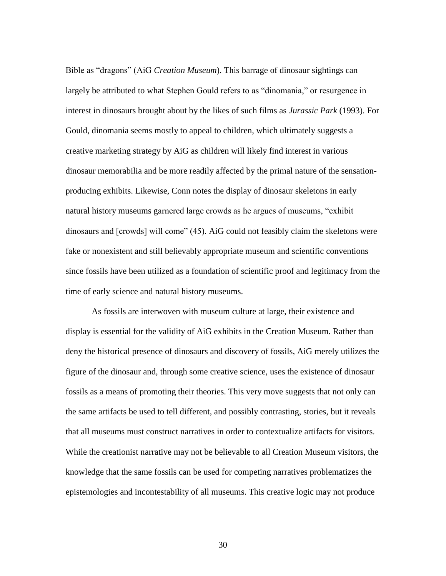Bible as "dragons" (AiG *Creation Museum*). This barrage of dinosaur sightings can largely be attributed to what Stephen Gould refers to as "dinomania," or resurgence in interest in dinosaurs brought about by the likes of such films as *Jurassic Park* (1993). For Gould, dinomania seems mostly to appeal to children, which ultimately suggests a creative marketing strategy by AiG as children will likely find interest in various dinosaur memorabilia and be more readily affected by the primal nature of the sensationproducing exhibits. Likewise, Conn notes the display of dinosaur skeletons in early natural history museums garnered large crowds as he argues of museums, "exhibit dinosaurs and [crowds] will come" (45). AiG could not feasibly claim the skeletons were fake or nonexistent and still believably appropriate museum and scientific conventions since fossils have been utilized as a foundation of scientific proof and legitimacy from the time of early science and natural history museums.

As fossils are interwoven with museum culture at large, their existence and display is essential for the validity of AiG exhibits in the Creation Museum. Rather than deny the historical presence of dinosaurs and discovery of fossils, AiG merely utilizes the figure of the dinosaur and, through some creative science, uses the existence of dinosaur fossils as a means of promoting their theories. This very move suggests that not only can the same artifacts be used to tell different, and possibly contrasting, stories, but it reveals that all museums must construct narratives in order to contextualize artifacts for visitors. While the creationist narrative may not be believable to all Creation Museum visitors, the knowledge that the same fossils can be used for competing narratives problematizes the epistemologies and incontestability of all museums. This creative logic may not produce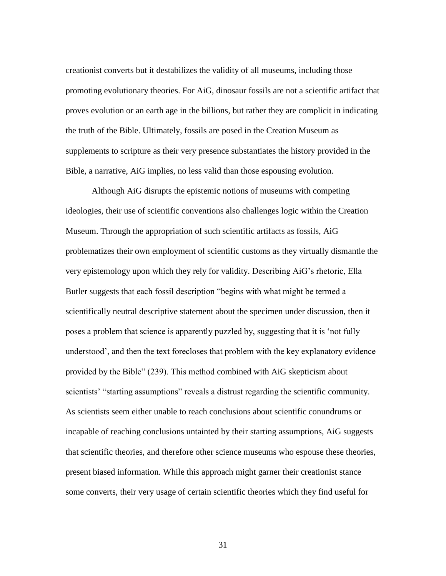creationist converts but it destabilizes the validity of all museums, including those promoting evolutionary theories. For AiG, dinosaur fossils are not a scientific artifact that proves evolution or an earth age in the billions, but rather they are complicit in indicating the truth of the Bible. Ultimately, fossils are posed in the Creation Museum as supplements to scripture as their very presence substantiates the history provided in the Bible, a narrative, AiG implies, no less valid than those espousing evolution.

Although AiG disrupts the epistemic notions of museums with competing ideologies, their use of scientific conventions also challenges logic within the Creation Museum. Through the appropriation of such scientific artifacts as fossils, AiG problematizes their own employment of scientific customs as they virtually dismantle the very epistemology upon which they rely for validity. Describing AiG's rhetoric, Ella Butler suggests that each fossil description "begins with what might be termed a scientifically neutral descriptive statement about the specimen under discussion, then it poses a problem that science is apparently puzzled by, suggesting that it is 'not fully understood', and then the text forecloses that problem with the key explanatory evidence provided by the Bible" (239). This method combined with AiG skepticism about scientists' "starting assumptions" reveals a distrust regarding the scientific community. As scientists seem either unable to reach conclusions about scientific conundrums or incapable of reaching conclusions untainted by their starting assumptions, AiG suggests that scientific theories, and therefore other science museums who espouse these theories, present biased information. While this approach might garner their creationist stance some converts, their very usage of certain scientific theories which they find useful for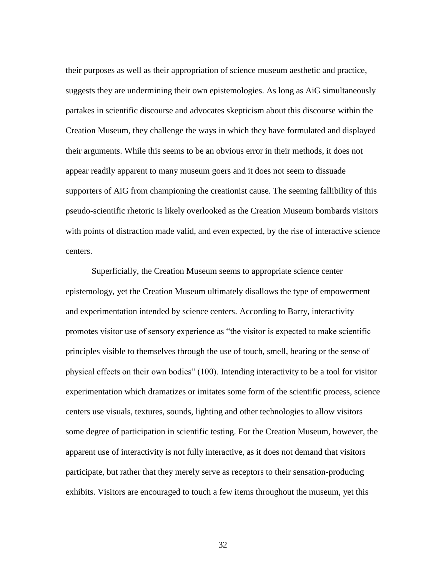their purposes as well as their appropriation of science museum aesthetic and practice, suggests they are undermining their own epistemologies. As long as AiG simultaneously partakes in scientific discourse and advocates skepticism about this discourse within the Creation Museum, they challenge the ways in which they have formulated and displayed their arguments. While this seems to be an obvious error in their methods, it does not appear readily apparent to many museum goers and it does not seem to dissuade supporters of AiG from championing the creationist cause. The seeming fallibility of this pseudo-scientific rhetoric is likely overlooked as the Creation Museum bombards visitors with points of distraction made valid, and even expected, by the rise of interactive science centers.

Superficially, the Creation Museum seems to appropriate science center epistemology, yet the Creation Museum ultimately disallows the type of empowerment and experimentation intended by science centers. According to Barry, interactivity promotes visitor use of sensory experience as "the visitor is expected to make scientific principles visible to themselves through the use of touch, smell, hearing or the sense of physical effects on their own bodies" (100). Intending interactivity to be a tool for visitor experimentation which dramatizes or imitates some form of the scientific process, science centers use visuals, textures, sounds, lighting and other technologies to allow visitors some degree of participation in scientific testing. For the Creation Museum, however, the apparent use of interactivity is not fully interactive, as it does not demand that visitors participate, but rather that they merely serve as receptors to their sensation-producing exhibits. Visitors are encouraged to touch a few items throughout the museum, yet this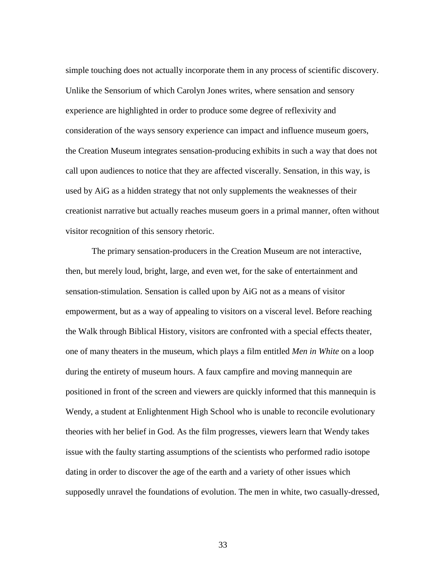simple touching does not actually incorporate them in any process of scientific discovery. Unlike the Sensorium of which Carolyn Jones writes, where sensation and sensory experience are highlighted in order to produce some degree of reflexivity and consideration of the ways sensory experience can impact and influence museum goers, the Creation Museum integrates sensation-producing exhibits in such a way that does not call upon audiences to notice that they are affected viscerally. Sensation, in this way, is used by AiG as a hidden strategy that not only supplements the weaknesses of their creationist narrative but actually reaches museum goers in a primal manner, often without visitor recognition of this sensory rhetoric.

The primary sensation-producers in the Creation Museum are not interactive, then, but merely loud, bright, large, and even wet, for the sake of entertainment and sensation-stimulation. Sensation is called upon by AiG not as a means of visitor empowerment, but as a way of appealing to visitors on a visceral level. Before reaching the Walk through Biblical History, visitors are confronted with a special effects theater, one of many theaters in the museum, which plays a film entitled *Men in White* on a loop during the entirety of museum hours. A faux campfire and moving mannequin are positioned in front of the screen and viewers are quickly informed that this mannequin is Wendy, a student at Enlightenment High School who is unable to reconcile evolutionary theories with her belief in God. As the film progresses, viewers learn that Wendy takes issue with the faulty starting assumptions of the scientists who performed radio isotope dating in order to discover the age of the earth and a variety of other issues which supposedly unravel the foundations of evolution. The men in white, two casually-dressed,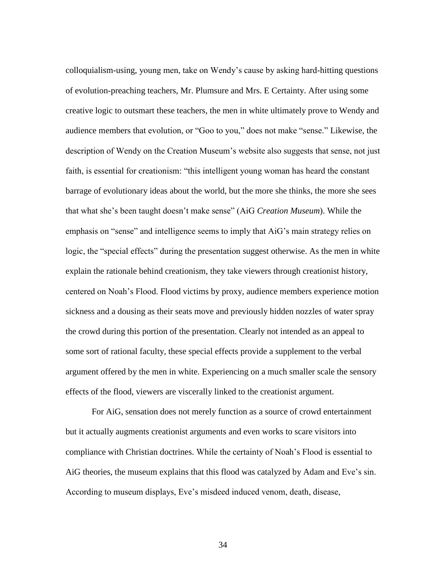colloquialism-using, young men, take on Wendy's cause by asking hard-hitting questions of evolution-preaching teachers, Mr. Plumsure and Mrs. E Certainty. After using some creative logic to outsmart these teachers, the men in white ultimately prove to Wendy and audience members that evolution, or "Goo to you," does not make "sense." Likewise, the description of Wendy on the Creation Museum's website also suggests that sense, not just faith, is essential for creationism: "this intelligent young woman has heard the constant barrage of evolutionary ideas about the world, but the more she thinks, the more she sees that what she's been taught doesn't make sense" (AiG *Creation Museum*). While the emphasis on "sense" and intelligence seems to imply that AiG's main strategy relies on logic, the "special effects" during the presentation suggest otherwise. As the men in white explain the rationale behind creationism, they take viewers through creationist history, centered on Noah's Flood. Flood victims by proxy, audience members experience motion sickness and a dousing as their seats move and previously hidden nozzles of water spray the crowd during this portion of the presentation. Clearly not intended as an appeal to some sort of rational faculty, these special effects provide a supplement to the verbal argument offered by the men in white. Experiencing on a much smaller scale the sensory effects of the flood, viewers are viscerally linked to the creationist argument.

For AiG, sensation does not merely function as a source of crowd entertainment but it actually augments creationist arguments and even works to scare visitors into compliance with Christian doctrines. While the certainty of Noah's Flood is essential to AiG theories, the museum explains that this flood was catalyzed by Adam and Eve's sin. According to museum displays, Eve's misdeed induced venom, death, disease,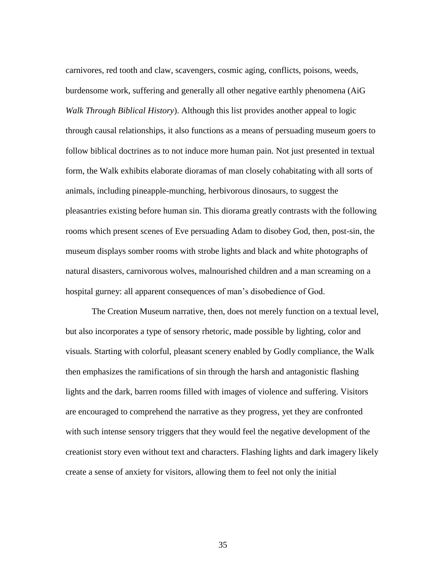carnivores, red tooth and claw, scavengers, cosmic aging, conflicts, poisons, weeds, burdensome work, suffering and generally all other negative earthly phenomena (AiG *Walk Through Biblical History*). Although this list provides another appeal to logic through causal relationships, it also functions as a means of persuading museum goers to follow biblical doctrines as to not induce more human pain. Not just presented in textual form, the Walk exhibits elaborate dioramas of man closely cohabitating with all sorts of animals, including pineapple-munching, herbivorous dinosaurs, to suggest the pleasantries existing before human sin. This diorama greatly contrasts with the following rooms which present scenes of Eve persuading Adam to disobey God, then, post-sin, the museum displays somber rooms with strobe lights and black and white photographs of natural disasters, carnivorous wolves, malnourished children and a man screaming on a hospital gurney: all apparent consequences of man's disobedience of God.

The Creation Museum narrative, then, does not merely function on a textual level, but also incorporates a type of sensory rhetoric, made possible by lighting, color and visuals. Starting with colorful, pleasant scenery enabled by Godly compliance, the Walk then emphasizes the ramifications of sin through the harsh and antagonistic flashing lights and the dark, barren rooms filled with images of violence and suffering. Visitors are encouraged to comprehend the narrative as they progress, yet they are confronted with such intense sensory triggers that they would feel the negative development of the creationist story even without text and characters. Flashing lights and dark imagery likely create a sense of anxiety for visitors, allowing them to feel not only the initial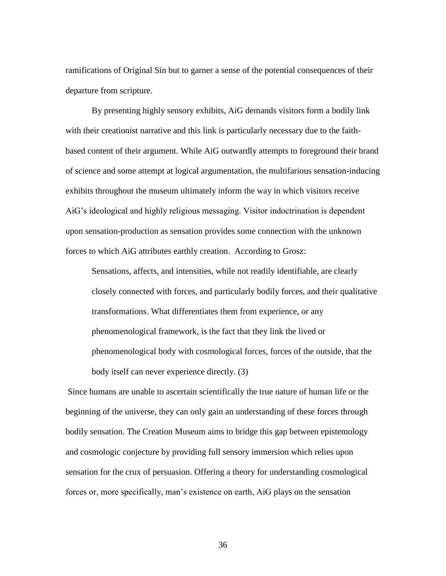ramifications of Original Sin but to garner a sense of the potential consequences of their departure from scripture.

By presenting highly sensory exhibits, AiG demands visitors form a bodily link with their creationist narrative and this link is particularly necessary due to the faithbased content of their argument. While AiG outwardly attempts to foreground their brand of science and some attempt at logical argumentation, the multifarious sensation-inducing exhibits throughout the museum ultimately inform the way in which visitors receive AiG's ideological and highly religious messaging. Visitor indoctrination is dependent upon sensation-production as sensation provides some connection with the unknown forces to which AiG attributes earthly creation. According to Grosz:

Sensations, affects, and intensities, while not readily identifiable, are clearly closely connected with forces, and particularly bodily forces, and their qualitative transformations. What differentiates them from experience, or any phenomenological framework, is the fact that they link the lived or phenomenological body with cosmological forces, forces of the outside, that the body itself can never experience directly. (3)

Since humans are unable to ascertain scientifically the true nature of human life or the beginning of the universe, they can only gain an understanding of these forces through bodily sensation. The Creation Museum aims to bridge this gap between epistemology and cosmologic conjecture by providing full sensory immersion which relies upon sensation for the crux of persuasion. Offering a theory for understanding cosmological forces or, more specifically, man's existence on earth, AiG plays on the sensation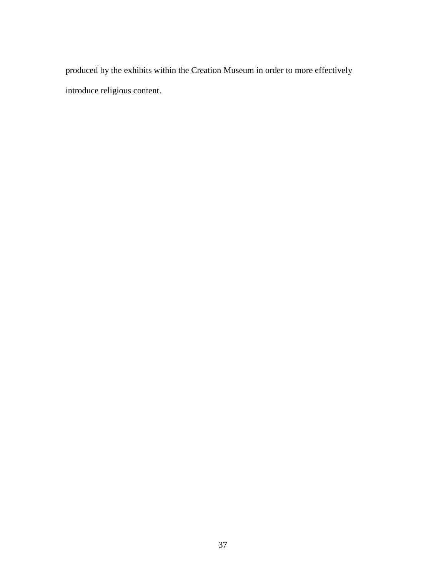produced by the exhibits within the Creation Museum in order to more effectively introduce religious content.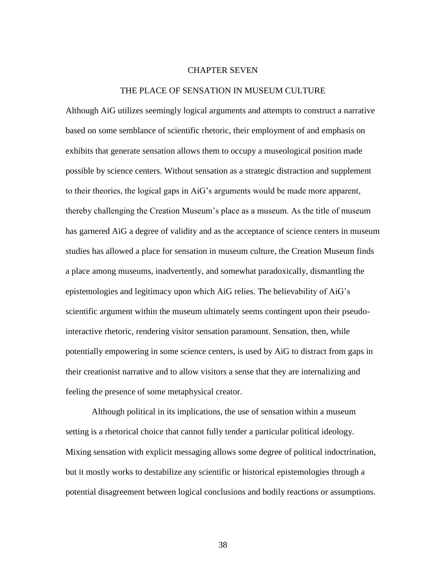#### CHAPTER SEVEN

#### THE PLACE OF SENSATION IN MUSEUM CULTURE

Although AiG utilizes seemingly logical arguments and attempts to construct a narrative based on some semblance of scientific rhetoric, their employment of and emphasis on exhibits that generate sensation allows them to occupy a museological position made possible by science centers. Without sensation as a strategic distraction and supplement to their theories, the logical gaps in AiG's arguments would be made more apparent, thereby challenging the Creation Museum's place as a museum. As the title of museum has garnered AiG a degree of validity and as the acceptance of science centers in museum studies has allowed a place for sensation in museum culture, the Creation Museum finds a place among museums, inadvertently, and somewhat paradoxically, dismantling the epistemologies and legitimacy upon which AiG relies. The believability of AiG's scientific argument within the museum ultimately seems contingent upon their pseudointeractive rhetoric, rendering visitor sensation paramount. Sensation, then, while potentially empowering in some science centers, is used by AiG to distract from gaps in their creationist narrative and to allow visitors a sense that they are internalizing and feeling the presence of some metaphysical creator.

Although political in its implications, the use of sensation within a museum setting is a rhetorical choice that cannot fully tender a particular political ideology. Mixing sensation with explicit messaging allows some degree of political indoctrination, but it mostly works to destabilize any scientific or historical epistemologies through a potential disagreement between logical conclusions and bodily reactions or assumptions.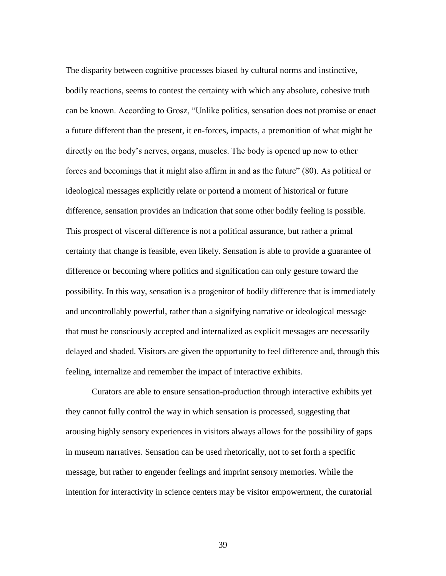The disparity between cognitive processes biased by cultural norms and instinctive, bodily reactions, seems to contest the certainty with which any absolute, cohesive truth can be known. According to Grosz, "Unlike politics, sensation does not promise or enact a future different than the present, it en-forces, impacts, a premonition of what might be directly on the body's nerves, organs, muscles. The body is opened up now to other forces and becomings that it might also affirm in and as the future" (80). As political or ideological messages explicitly relate or portend a moment of historical or future difference, sensation provides an indication that some other bodily feeling is possible. This prospect of visceral difference is not a political assurance, but rather a primal certainty that change is feasible, even likely. Sensation is able to provide a guarantee of difference or becoming where politics and signification can only gesture toward the possibility. In this way, sensation is a progenitor of bodily difference that is immediately and uncontrollably powerful, rather than a signifying narrative or ideological message that must be consciously accepted and internalized as explicit messages are necessarily delayed and shaded. Visitors are given the opportunity to feel difference and, through this feeling, internalize and remember the impact of interactive exhibits.

Curators are able to ensure sensation-production through interactive exhibits yet they cannot fully control the way in which sensation is processed, suggesting that arousing highly sensory experiences in visitors always allows for the possibility of gaps in museum narratives. Sensation can be used rhetorically, not to set forth a specific message, but rather to engender feelings and imprint sensory memories. While the intention for interactivity in science centers may be visitor empowerment, the curatorial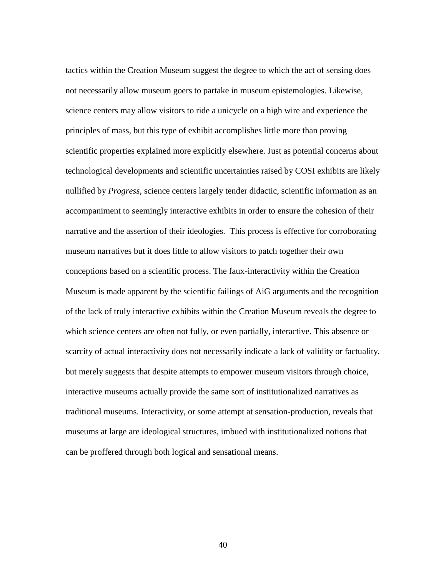tactics within the Creation Museum suggest the degree to which the act of sensing does not necessarily allow museum goers to partake in museum epistemologies. Likewise, science centers may allow visitors to ride a unicycle on a high wire and experience the principles of mass, but this type of exhibit accomplishes little more than proving scientific properties explained more explicitly elsewhere. Just as potential concerns about technological developments and scientific uncertainties raised by COSI exhibits are likely nullified by *Progress*, science centers largely tender didactic, scientific information as an accompaniment to seemingly interactive exhibits in order to ensure the cohesion of their narrative and the assertion of their ideologies. This process is effective for corroborating museum narratives but it does little to allow visitors to patch together their own conceptions based on a scientific process. The faux-interactivity within the Creation Museum is made apparent by the scientific failings of AiG arguments and the recognition of the lack of truly interactive exhibits within the Creation Museum reveals the degree to which science centers are often not fully, or even partially, interactive. This absence or scarcity of actual interactivity does not necessarily indicate a lack of validity or factuality, but merely suggests that despite attempts to empower museum visitors through choice, interactive museums actually provide the same sort of institutionalized narratives as traditional museums. Interactivity, or some attempt at sensation-production, reveals that museums at large are ideological structures, imbued with institutionalized notions that can be proffered through both logical and sensational means.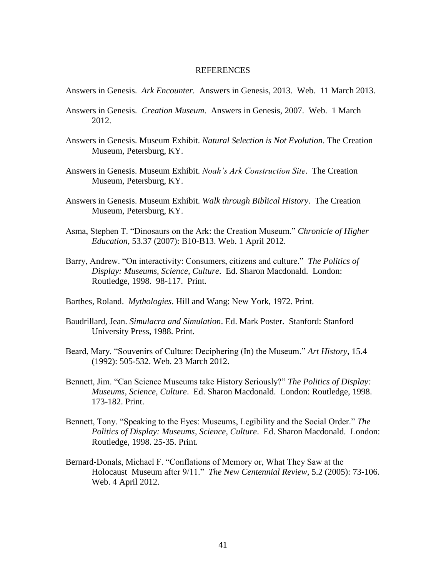#### REFERENCES

Answers in Genesis. *Ark Encounter*. Answers in Genesis, 2013. Web. 11 March 2013.

- Answers in Genesis. *Creation Museum*. Answers in Genesis, 2007. Web. 1 March 2012.
- Answers in Genesis. Museum Exhibit. *Natural Selection is Not Evolution*. The Creation Museum, Petersburg, KY.
- Answers in Genesis. Museum Exhibit. *Noah's Ark Construction Site*. The Creation Museum, Petersburg, KY.
- Answers in Genesis. Museum Exhibit. *Walk through Biblical History*. The Creation Museum, Petersburg, KY.
- Asma, Stephen T. "Dinosaurs on the Ark: the Creation Museum." *Chronicle of Higher Education*, 53.37 (2007): B10-B13. Web. 1 April 2012.
- Barry, Andrew. "On interactivity: Consumers, citizens and culture." *The Politics of Display: Museums, Science, Culture*. Ed. Sharon Macdonald. London: Routledge, 1998. 98-117. Print.
- Barthes, Roland. *Mythologies*. Hill and Wang: New York, 1972. Print.
- Baudrillard, Jean. *Simulacra and Simulation*. Ed. Mark Poster. Stanford: Stanford University Press, 1988. Print.
- Beard, Mary. "Souvenirs of Culture: Deciphering (In) the Museum." *Art History*, 15.4 (1992): 505-532. Web. 23 March 2012.
- Bennett, Jim. "Can Science Museums take History Seriously?" *The Politics of Display: Museums, Science, Culture*. Ed. Sharon Macdonald. London: Routledge, 1998. 173-182. Print.
- Bennett, Tony. "Speaking to the Eyes: Museums, Legibility and the Social Order." *The Politics of Display: Museums, Science, Culture*. Ed. Sharon Macdonald. London: Routledge, 1998. 25-35. Print.
- Bernard-Donals, Michael F. "Conflations of Memory or, What They Saw at the Holocaust Museum after 9/11." *The New Centennial Review*, 5.2 (2005): 73-106. Web. 4 April 2012.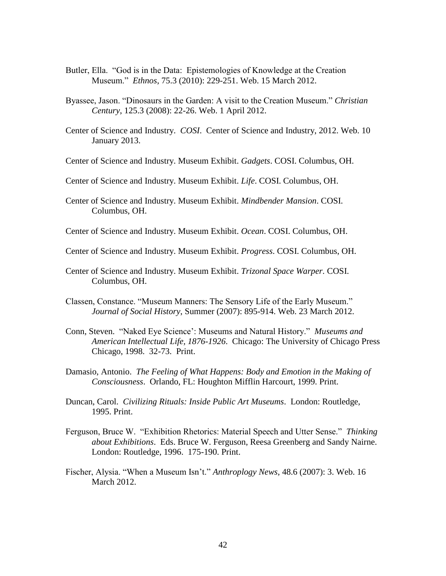- Butler, Ella. "God is in the Data: Epistemologies of Knowledge at the Creation Museum." *Ethnos*, 75.3 (2010): 229-251. Web. 15 March 2012.
- Byassee, Jason. "Dinosaurs in the Garden: A visit to the Creation Museum." *Christian Century*, 125.3 (2008): 22-26. Web. 1 April 2012.
- Center of Science and Industry. *COSI*. Center of Science and Industry, 2012. Web. 10 January 2013.
- Center of Science and Industry. Museum Exhibit. *Gadgets*. COSI. Columbus, OH.
- Center of Science and Industry. Museum Exhibit. *Life*. COSI. Columbus, OH.
- Center of Science and Industry. Museum Exhibit. *Mindbender Mansion*. COSI. Columbus, OH.
- Center of Science and Industry. Museum Exhibit. *Ocean*. COSI. Columbus, OH.
- Center of Science and Industry. Museum Exhibit. *Progress*. COSI. Columbus, OH.
- Center of Science and Industry. Museum Exhibit. *Trizonal Space Warper*. COSI. Columbus, OH.
- Classen, Constance. "Museum Manners: The Sensory Life of the Early Museum." *Journal of Social History*, Summer (2007): 895-914. Web. 23 March 2012.
- Conn, Steven. "Naked Eye Science': Museums and Natural History." *Museums and American Intellectual Life, 1876-1926*. Chicago: The University of Chicago Press Chicago, 1998. 32-73. Print.
- Damasio, Antonio. *The Feeling of What Happens: Body and Emotion in the Making of Consciousness*. Orlando, FL: Houghton Mifflin Harcourt, 1999. Print.
- Duncan, Carol. *Civilizing Rituals: Inside Public Art Museums*. London: Routledge, 1995. Print.
- Ferguson, Bruce W. "Exhibition Rhetorics: Material Speech and Utter Sense." *Thinking about Exhibitions*. Eds. Bruce W. Ferguson, Reesa Greenberg and Sandy Nairne. London: Routledge, 1996. 175-190. Print.
- Fischer, Alysia. "When a Museum Isn't." *Anthroplogy News*, 48.6 (2007): 3. Web. 16 March 2012.